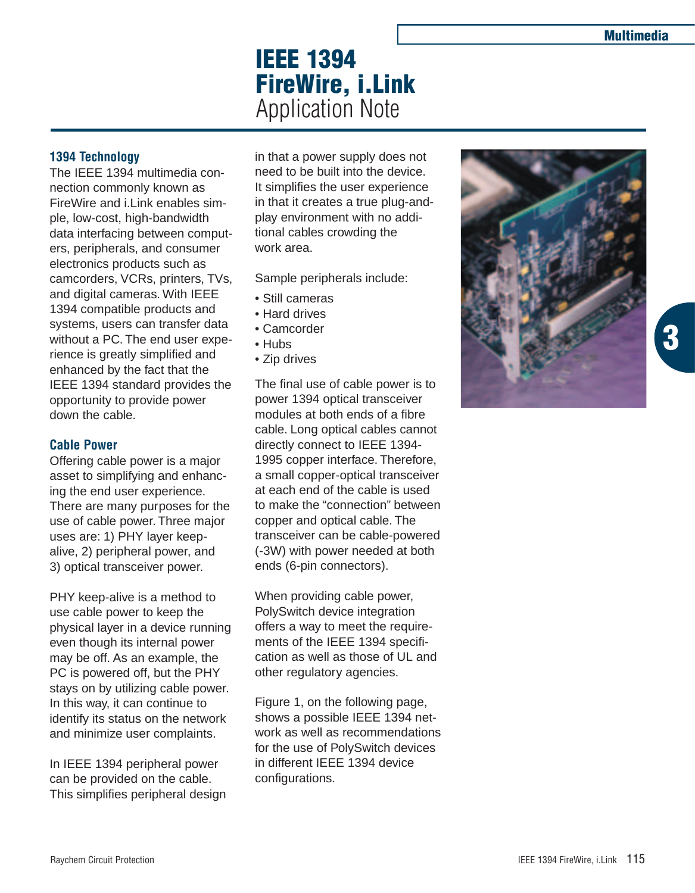**3**

# **IEEE 1394 FireWire, i.Link** Application Note

## **1394 Technology**

The IEEE 1394 multimedia connection commonly known as FireWire and i.Link enables simple, low-cost, high-bandwidth data interfacing between computers, peripherals, and consumer electronics products such as camcorders, VCRs, printers, TVs, and digital cameras. With IEEE 1394 compatible products and systems, users can transfer data without a PC. The end user experience is greatly simplified and enhanced by the fact that the IEEE 1394 standard provides the opportunity to provide power down the cable.

## **Cable Power**

Offering cable power is a major asset to simplifying and enhancing the end user experience. There are many purposes for the use of cable power. Three major uses are: 1) PHY layer keepalive, 2) peripheral power, and 3) optical transceiver power.

PHY keep-alive is a method to use cable power to keep the physical layer in a device running even though its internal power may be off. As an example, the PC is powered off, but the PHY stays on by utilizing cable power. In this way, it can continue to identify its status on the network and minimize user complaints.

In IEEE 1394 peripheral power can be provided on the cable. This simplifies peripheral design in that a power supply does not need to be built into the device. It simplifies the user experience in that it creates a true plug-andplay environment with no additional cables crowding the work area.

Sample peripherals include:

- Still cameras
- Hard drives
- Camcorder
- Hubs
- Zip drives

The final use of cable power is to power 1394 optical transceiver modules at both ends of a fibre cable. Long optical cables cannot directly connect to IEEE 1394- 1995 copper interface. Therefore, a small copper-optical transceiver at each end of the cable is used to make the "connection" between copper and optical cable. The transceiver can be cable-powered (-3W) with power needed at both ends (6-pin connectors).

When providing cable power, PolySwitch device integration offers a way to meet the requirements of the IEEE 1394 specification as well as those of UL and other regulatory agencies.

Figure 1, on the following page, shows a possible IEEE 1394 network as well as recommendations for the use of PolySwitch devices in different IEEE 1394 device configurations.

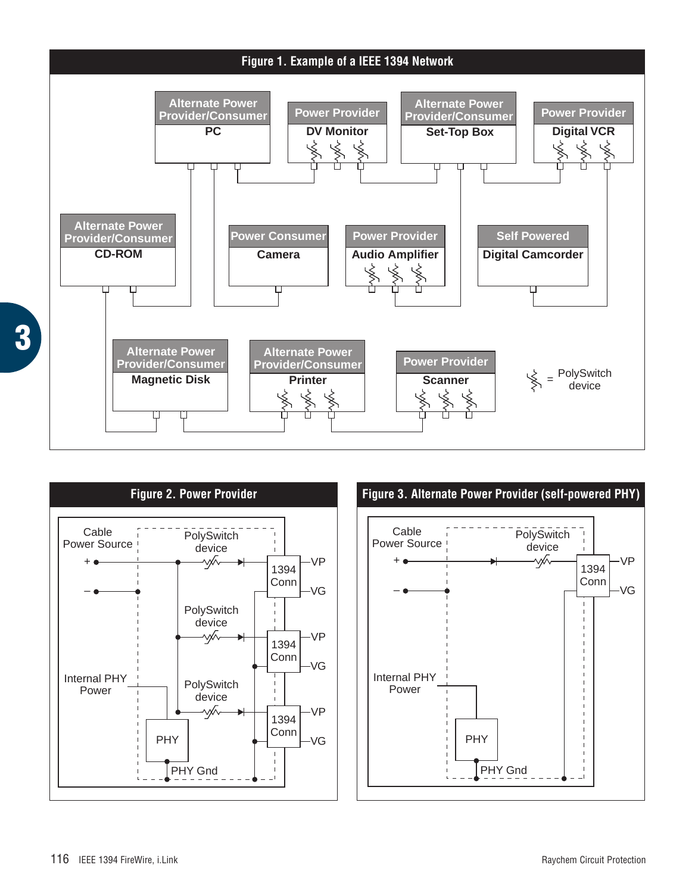